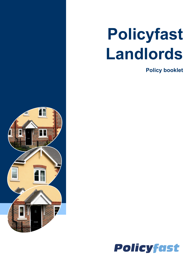# **Policyfast Landlords**

**Policy booklet**



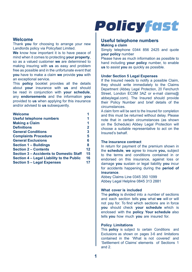#### **Welcome**

Thank **you** for choosing to arrange your new Landlords policy via Policyfast Limited.

**We** know how important it is to have peace of mind when it comes to protecting **your property**, so as a valued customer **we** are determined to making insuring with **us** as easy and problem free as possible and in the unfortunate event that **you** have to make a claim **we** provide **you** with an exceptional service.

This **policy** booklet provides all the details about **your** insurance with **us** and should be read in conjunction with **your schedule**, any **endorsements** and the information **you** provided to **us** when applying for this insurance and/or advised to **us** subsequently.

| Welcome                                   |                |
|-------------------------------------------|----------------|
| Useful telephone numbers                  | 1              |
| <b>Making a Claim</b>                     | 1              |
| <b>Definitions</b>                        | $\overline{2}$ |
| <b>General Conditions</b>                 | 3              |
| <b>Complaints Procedure</b>               | 5              |
| <b>General Exclusions</b>                 | 6              |
| <b>Section 1 – Buildings</b>              | 8              |
| <b>Section 2 - Contents</b>               | 12             |
| Section 3 – Accidents to Domestic Staff   | 15             |
| Section 4 – Legal Liability to the Public | 16             |
| Section 5 - Legal Expenses                | 17             |

### **Policyfast**

#### **Useful telephone numbers Making a claim**

Simply telephone 0344 856 2425 and quote **your policy** number

Please have as much information as possible to hand including **your policy** number, to enable **us** to assist **you** as quickly as possible.

#### **Under Section 5 Legal Expenses**

If the Insured needs to notify a possible Claim, they should write immediately to the Claims Department (Abbey Legal Protection, 20 Fenchurch Street, London EC3M 3AZ or e-mail claims@ abbeylegal.com). The Insured should provide their Policy Number and brief details of the circumstances.

A claim form will be sent to the Insured for completion and this must be returned without delay. Please note that in certain circumstances (as shown on the Schedule) Abbey Legal Protection will choose a suitable representative to act on the Insured's behalf.

#### **The insurance contract**

In return for payment of the premium shown in the **schedule**, **we** agree to insure **you,** subject to the terms and conditions contained in or endorsed on this insurance, against loss or damage **you** sustain or legal liability **you** incur for accidents happening during the **period of insurance**.

Abbey Claims Line 0345 350 1099 Abbey Legal Helpline 0845 313 2881

#### **What cover is included**

The **policy** is divided into a number of sections and each section tells **you** what **we** will or will not pay for. To find which sections are in force **you** should check **your schedule** which is enclosed with the **policy**. **Your schedule** also tells **you** how much **you** are insured for.

#### **Policy Limitations**

This **policy** is subject to certain Conditions and Exclusions as shown on pages 3-6 and limitations contained in the 'What is not covered' and 'Settlement of Claims' elements of Sections 1 and 2.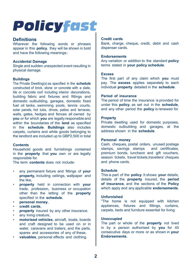#### **Definitions**

Wherever the following words or phrases appear in this **policy**, they will be shown in bold and have the following meanings::

#### **Accidental Damage**

Single and sudden unexpected event resulting in physical damage.

#### **Buildings**

The Private Dwelling(s) as specified in the **schedule**  constructed of brick, stone or concrete with a slate, tile or concrete roof including interior decorations, building fabric and fixtures and fittings and domestic outbuilding, garages, domestic fixed fuel oil tanks, swimming pools, tennis courts, solar panels, hot tubs, drives, patios and terraces, walls, gates, hedges and fences all owned by **you** or for which **you** are legally responsible and within the boundaries of the **land** as specified in the **schedule**. **Buildings** also includes carpets, curtains and white goods belonging to the landlord are included up to GBP2,500 in total

#### **Contents**

Household goods and furnishings contained in the **property** that **you** own or are legally responsible for.

The term **contents** does not include:

- any permanent fixture and fittings of **your property,** including ceilings, wallpaper and the like,
- **property** held in connection with **your**  trade, profession, business or occupation other than the letting of the **property**  specified in the **schedule**,
- **personal money**,
- **credit cards**,
- **property** insured by any other insurance.
- any living creature.
- **motorised vehicles**, aircraft, boats, boards and craft designed to be used on or in water, caravans and trailers, and the parts spares and accessories of any of these,
- **valuables**, personal effects and clothing.

#### **Credit cards**

Bank, charge, cheque, credit, debit and cash dispenser cards.

#### **Endorsements**

Any variation or addition to the standard **policy** terms stated in **your policy schedule**.

#### **Excess**

The first part of any claim which **you** must pay. The **excess** applies separately to each individual **property** detailed in the **schedule**.

#### **Period of insurance**

The period of time the insurance is provided for under this **policy**, as set out in the **schedule**, and any other period the **policy** is renewed for.

#### **Property**

Private dwelling used for domestic purposes, domestic outbuilding and garages, at the address shown in the **schedule**.

#### **Personal money**

Cash, cheques, postal orders, unused postage stamps, savings stamps and certificates, premium bonds, luncheon and gift vouchers, season tickets, travel tickets, travellers' cheques and phone cards.

#### **Schedule**

This is part of the **policy**. It shows **your** details, details of the **property** insured, the **period of insurance**, and the sections of the **Policy** which apply and any applicable **endorsements**.

#### **Unfurnished**

"The home is not equipped with kitchen appliances, fixtures and fittings, curtains, carpets, beds and furniture essential for living

#### **Unoccupied**

The part or whole of the **property** not lived in by a person authorised by **you** for 45 consecutive days or more or as shown in **your Endorsements**.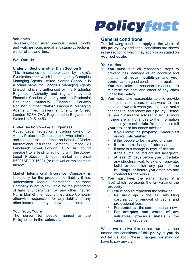#### **Valuables**

Jewellery, gold, silver, precious metals, clocks and watches, coin, medal and stamp collections, works of art and furs.

#### **We, Our, Us**

#### **Under all Sections other than Section 5**

This insurance is underwritten by Lloyd's Syndicates 4444 which is managed by Canopius Managing Agents Limited. Sompo Canopius is a brand name for Canopius Managing Agents Limited, which is authorised by the Prudential Regulation Authority and regulated by the Financial Conduct Authority and the Prudential Regulation Register number 204847 Canopius Managing Agents Limited, Gallery 9, One Lime Street, London EC3M 7HA. Registered in England and Wales No.01514453.

#### **Under Section 5 – Legal Expenses**

Abbey Legal Protection a trading division of Abbey Protection Group Limited, who administer and manage this insurance on behalf of Markel International Insurance Company Limited, 20 Fenchurch Street, London EC3M 3AZ bound pursuant to a binding authority with the Abbey Legal Protection. Unique market reference B6027APG2016001 (or renewal or replacement thereof).

Markel International Insurance Company is liable only for the proportion of liability it has underwritten. Markel International Insurance Company is not jointly liable for the proportion of liability underwritten by any other insurer. Nor is Markel International Insurance Company otherwise responsible for any liability of any other insurer that may underwrite this contract.

#### **You, Your, Yours**

The person (or people) named as the Policyholder in the **schedule**.

### **Policyfast**

#### **General conditions**

The following conditions apply to the whole of this **policy**. Any additional conditions are shown in the section to which they apply or as stated on **your schedule**.

#### **Your duties**

- 1. **You** must take all reasonable steps to prevent loss, damage or an accident and maintain all **your buildings** and **your contents** in a good condition and repair. **You** must take all reasonable measures to minimise the cost and effect of any claim under this **policy**.
- 2. **You** must take reasonable care to provide complete and accurate answers to the questions **we** ask when **you** take out, make changes to, and renew **your policy**. Please tell **your** insurance adviser to let **us** know if there are any changes to the information set out in **your schedule**. **You** must also tell **your** broker or insurance adviser
	- if **you** leave the **property unoccupied** and/or **unfurnished**
	- if the people to be insured change
	- if there is a change of address
	- if there is a change in type of tenant
	- if the Sums Insured are not adequate
	- at least 21 days before **you** undertake any structural work to extend, renovate, build or demolish any part of the **buildings**, or before **you** enter into any contract for the works.
- 3. **You** must keep the sums insured at a level which represents the full value of the **property**.

Full value should represent the following.

- for **buildings**  the full rebuilding cost including removal of debris and professional fees.
- For **contents**  the current cost as new.
- For **antiques and works of art, valuables, precious metals** - the current market value.

When **we** receive this notice, **we** may then amend the conditions of this **policy**. If **you** do not tell **us** about these changes, **we** may not have to pay any claim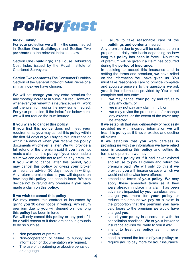#### **Index Linking**

For **your** protection **we** will link the sums insured in Section One (**buildings**) and Section Two (**contents**) to the relevant indexes below.

Section One **(buildings**) The House Rebuilding Cost Index issued by the Royal Institute of Chartered Surveyors.

Section Two **(contents)** The Consumer Durables Section of the General Index of Retail Prices or a similar index **we** have chosen.

**We** will not charge **you** any extra premium for any monthly increase in sums insured. However, whenever **you** renew this insurance, **we** will work out the premium using the new sums insured. For **your** protection, if the index falls below zero, **we** will not reduce the sum insured.

#### **If you wish to cancel this policy**

If **you** find this **policy** does not meet **your** requirements**, you** may cancel this **policy** within the first 14 days of **you** buying this insurance or within 14 days of when **you** receive the **policy** documents whichever is later. **We** will provide a full refund of the premium paid if **you** have not made a claim on this **policy.** If **you** have made a claim **we** can decide not to refund any premium. If **you** wish to cancel after this period**, you** may cancel this **policy** by giving **your** broker or insurance advisor 30 days' notice in writing. Any return premium due to **you** will depend on how long this **policy** has been in force. **We** can decide not to refund any premium if **you** have made a claim on this **policy**.

#### **If we wish to cancel this policy**

**We** may cancel this contract of insurance by giving **you** 30 days' notice in writing. Any return premium due to **you** will depend on how long this **policy** has been in force

**We** will only cancel this **policy** or any part of it for a valid reason or if there are serious grounds to do so such as:

- Non payment of premium.
- Non-cooperation or failure to supply any information or documentation **we** request.
- The use of threatening or abusive behaviour or language.

• Failure to take reasonable care of the **buildings and contents** insured.

Any premium due to **you** will be calculated on a proportional daily rate basis depending on how long this **policy** has been in force. No return of premium will be given if a claim has occurred during the **period of insurance.** 

In deciding to accept this insurance and in setting the terms and premium, **we** have relied on the information **You** have given **us**. **You** must take reasonable care to provide complete and accurate answers to the questions **we** ask **you**. If the information provided by **You** is not complete and accurate:

- **we** may cancel **Your policy** and refuse to pay any claim, or
- **we** may not pay any claim in full, or
- **we** may revise the premium and/or change any **excess**, or the extent of the cover may be affected

If **we** establish that **you** deliberately or recklessly provided **us** with incorrect information **we** will treat this **policy** as if it never existed and decline all claims.

If **we** establish that **you** were careless in providing **us** with the information **we** have relied upon in accepting this **policy** and setting its terms and premium **we** may:

- treat this **policy** as if it had never existed and refuse to pay all claims and return the premium paid. **We** will only do this if **we** provided **you** with insurance cover which **we** would not otherwise have offered;
- amend the terms of **your policy**. **We** may apply these amended terms as if they were already in place if a claim has been adversely impacted by **your** carelessness;
- charge **you** more for **your policy** or reduce the amount **we** pay on a claim in the proportion that the premium **you** have paid bears to the premium **we** would have charged **you**;
- cancel **your policy** in accordance with the cancellation condition. **We** or **your** broker or insurance advisor will write to you if **we**:i
- intend to treat this **policy** as if it never existed;
- need to amend the terms of **your policy**; or
- require **you** to pay more for **your** insurance.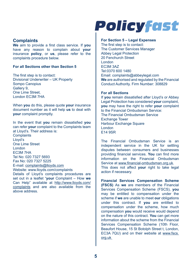#### **Complaints**

**We** aim to provide a first class service. If **you** have any reason to complain about **your**  insurance **policy**, or **us**, please refer to the complaints procedure below.

#### **For all Sections other than Section 5**

The first step is to contact: Divisional Underwriter – UK Property Sompo Canopius Gallery 9, One Lime Street, London EC3M 7HA

When **you** do this, please quote **your** insurance document number as it will help **us** to deal with **your** complaint promptly.

In the event that **you** remain dissatisfied **you** can refer **your** complaint to the Complaints team at Lloyd's. Their address is: **Complaints** Lloyd's One Lime Street London EC3M 7HA Tel No: 020 7327 5693 Fax No: 020 7327 5225 E-mail: [complaints@lloyds.com](mailto:complaints@lloyds.com) Website: www.lloyds.com/complaints Details of Lloyd's complaints procedures are set out in a leaflet "**your** Complaint – How **we** Can Help" available at [http://www.lloyds.com/](http://www.lloyds.com/complaints) [complaints](http://www.lloyds.com/complaints) and are also available from the above address.

### **Policyfast**

#### **For Section 5 – Legal Expenses**

The first step is to contact: The Customer Services Manager Abbey Legal Protection 20 Fenchurch Street London EC3M 3AZ Tel:0370 600 1480 Email: complaints@abbeylegal.com **We** are authorised and regulated by the Financial Conduct Authority. Firm Number: 308829

#### **For all Sections**

If **you** remain dissatisfied after Lloyd's or Abbey Legal Protection has considered **your** complaint, **you** may have the right to refer **your** complaint to the Financial Ombudsman Service: The Financial Ombudsman Service Exchange Tower Harbour Exchange Square London E14 9SR

The Financial Ombudsman Service is an independent service in the UK for settling disputes between consumers and businesses providing financial services. **You** can find more information on the Financial Ombudsman Service at [www.financial-ombudsman.org.uk](http://www.financial-ombudsman.org.uk). This does not affect **your** right to take legal action if necessary.

**Financial Services Compensation Scheme (FSCS)** As **we** are members of the Financial Services Compensation Scheme (FSCS), **you** may be entitled to compensation under the scheme if **we** are unable to meet **our** obligations under this contract. If **you** are entitled to compensation under the scheme, how much compensation **you** would receive would depend on the nature of this contract. **You** can get more information about the scheme from the Financial Services Compensation Scheme (10th Floor, Beaufort House, 15 St Botolph Street t, London, EC3A 7QU) and on their website at [www.fscs.](http://www.fscs.org.uk) [org.uk](http://www.fscs.org.uk)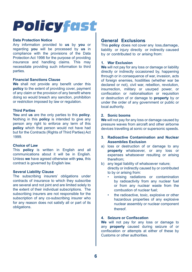#### **Data Protection Notice**

Any information provided to **us** by **you** or regarding **you** will be processed by **us** in compliance with the provisions of the Data Protection Act 1998 for the purpose of providing insurance and handling claims. This may necessitate providing such information to third parties.

#### **Financial Sanctions Clause**

**We** shall not provide any benefit under this **policy** to the extent of providing cover, payment of any claim or the provision of any benefit where doing so would breach any sanction, prohibition or restriction imposed by law or regulation.

#### **Third Parties**

**You** and **us** are the only parties to this **policy**. Nothing in this **policy** is intended to give any person any right to enforce any term of this **policy** which that person would not have had but for the Contracts (Rights of Third Parties) Act 1999.

#### **Choice of Law**

This **policy** is written in English and all communications about it will be in English. Unless **we** have agreed otherwise with **you**, this contract is governed by English law.

#### **Several Liability Clause**

The subscribing insurers' obligations under contracts of insurance to which they subscribe are several and not joint and are limited solely to the extent of their individual subscriptions. The subscribing insurers are not responsible for the subscription of any co-subscribing insurer who for any reason does not satisfy all or part of its obligations.

#### **General Exclusions**

This **policy** does not cover any loss,damage, liability or injury directly or indirectly caused by or contributed to or arising from:

#### **1. War Exclusion**

**We** will not pay for any loss or damage or liability directly or indirectly occasioned by, happening through or in consequence of war, invasion, acts of foreign enemies, hostilities (whether war be declared or not), civil war, rebellion, revolution, insurrection, military or usurped power, or confiscation or nationalisation or requisition or destruction of or damage to **property** by or under the order of any government or public or local authority.

#### **2. Sonic booms**

**We** will not pay for any loss or damage caused by pressure waves from aircraft and other airborne devices travelling at sonic or supersonic speeds.

#### **3. Radioactive Contamination and Nuclear Assemblies Exclusion**

- a) loss or destruction of or damage to any **property** whatsoever, or any loss or expenses whatsoever resulting or arising therefrom;
- b) any legal liability of whatsoever nature; directly or indirectly caused by or contributed to by or arising from:
	- ionising radiations or contamination by radioactivity from any nuclear fuel or from any nuclear waste from the combustion of nuclear fuel;
	- the radioactive, toxic, explosive or other hazardous properties of any explosive nuclear assembly or nuclear component thereof.

#### **4. Seizure or Confiscation**

**We** will not pay for any loss or damage to any **property** caused during seizure of or confiscation or attempts at either of these by Customs or other authorities.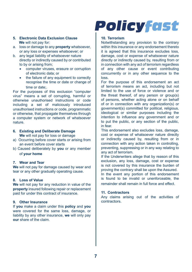- **5. Electronic Data Exclusion Clause We** will not pay for:
- a. loss or damage to any **property** whatsoever, or any loss or expenses whatsoever; or
- b. any legal liability of whatsoever nature directly or indirectly caused by or contributed to by or arising from;
	- computer viruses, erasure or corruption of electronic data; or
	- the failure of any equipment to correctly recognise the time or date or change of time or date;

For the purposes of this exclusion "computer virus" means a set of corrupting, harmful or otherwise unauthorised instructions or code including a set of maliciously introduced unauthorised instructions or code, programmatic or otherwise, that propagate themselves through a computer system or network of whatsoever nature.

- **6. Existing and Deliberate Damage We** will not pay for loss or damage
- a) Occurring before cover starts or arising from an event before cover starts
- b) Caused deliberately by **you** or any member of **your home**

#### **7. Wear and Tear**

**We** will not pay for damage caused by wear and tear or any other gradually operating cause.

#### **8. Loss of Value**

**We** will not pay for any reduction in value of the **property** insured following repair or replacement paid for under this contract of insurance.

#### **9. Other Insurance**

If **you** make a claim under this **policy** and **you**  were covered for the same loss, damage, or liability by any other insurance, **we** will only pay **our** share of the claim.

### **Policyfast**

#### **10. Terrorism**

Notwithstanding any provision to the contrary within this insurance or any endorsement thereto it is agreed that this insurance excludes loss, damage, cost or expense of whatsoever nature directly or indirectly caused by, resulting from or in connection with any act of terrorism regardless of any other cause or event contributing concurrently or in any other sequence to the loss.

For the purpose of this endorsement an act of terrorism means an act, including but not limited to the use of force or violence and or the threat thereof, of any person or group(s) of persons, whether acting alone or on behalf of or in connection with any organization(s) or government(s) committed for political, religious, ideological or similar purposes including the intention to influence any government and or to put the public, or any section of the public, in fear.

This endorsement also excludes loss, damage, cost or expense of whatsoever nature directly or indirectly caused by, resulting from or in connection with any action taken in controlling, preventing, suppressing or in any way relating to any act of terrorism.

If the Underwriters allege that by reason of this exclusion, any loss, damage, cost or expense is not covered by this insurance the burden of proving the contrary shall be upon the Assured. In the event any portion of this endorsement is found to be invalid or unenforceable, the remainder shall remain in full force and effect.

#### **11. Contractors**

Any claims arising out of the activities of contractors.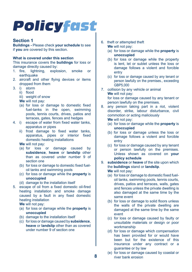#### **Section 1**

**Buildings -** Please check **your schedule** to see if **you** are covered by this section.

#### **What is covered under this section**

This insurance covers the **buildings** for loss or damage directly caused by:<br>1. fire. lightning. explo

- 1. fire, lightning, explosion, smoke or earthquake
- 2. aircraft and other flying devices or items dropped from them
- 3. i) storm
	- ii) flood
	- iii) weight of snow
	- **We** will not pay:
	- (a) for loss or damage to domestic fixed fuel-tanks in the open, swimming pools, tennis courts, drives, patios and terraces, gates, fences and hedges
- 4. i) escape of water from fixed water tanks, apparatus or pipes
	- ii) frost damage to fixed water tanks. apparatus, pipes or interior fixed domestic heating installations

**We** will not pay:

- (a) for loss or damage caused by **subsidence**, **heave** or **landslip** other than as covered under number 9 of section one
- (b) for loss or damage to domestic fixed fueloil tanks and swimming pools
- (c) for loss or damage while the **property** is **unoccupied**
- (d) damage to the installation itself
- 5. escape of oil from a fixed domestic oil-fired heating installation and smoke damage caused by a fault in any fixed domestic heating installation

**We** will not pay:

- (a) for loss or damage while the **property** is **unoccupied**
- (b) damage to the installation itself
- (c) for loss or damage caused by **subsidence**, **heave** or **landslip** other than as covered under number 9 of section one
- 6. theft or attempted theft **We** will not pay:
	- (a) for loss or damage while the **property** is **unoccupied**
	- (b) for loss or damage while the property is lent, let or sublet unless the loss or damage follows a violent and forcible entry
	- (c) for loss or damage caused by any tenant or person lawfully on the premises., exceeding GBP5,000
- 7. collision by any vehicle or animal **We** will not pay: for loss or damage caused by any tenant or person lawfully on the premises.
- 8. any person taking part in a riot, violent disorder, strike, labour disturbance, civil commotion or acting maliciously **We** will not pay:

- (a) for loss or damage while the **property** is **unoccupied**
- (b) for loss or damage unless the loss or damage follows a violent and forcible entry
- (c) for loss or damage caused by any tenant or person lawfully on the premises. Unless shown as covered on **your policy schedule**
- 9. **subsidence** or **heave** of the site upon which the **buildings** stand or **landslip**.

**We** will not pay:

- (a) for loss or damage to domestic fixed fueloil tanks, swimming pools, tennis courts, drives, patios and terraces, walls, gates and fences unless the private dwelling is also damaged at the same time by the same event
- (b) for loss or damage to solid floors unless the walls of the private dwelling are damaged at the same time by the same event
- (c) for loss or damage caused by faulty or unsuitable materials or design or poor workmanship
- (d) for loss or damage which compensation has been provided for or would have been but for the existence of this insurance under any contract or a guarantee or by law
- (e) for loss or damage caused by coastal or river bank erosion

**8**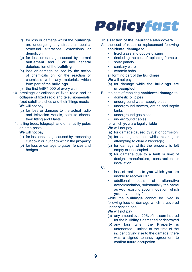- (f) for loss or damage whilst the **buildings** are undergoing any structural repairs, structural alterations, extensions or demolition
- (g) for loss or damage caused by normal **settlement** and / or any general deterioration of the **building**
- (h) loss or damage caused by the action of chemicals on, or the reaction of chemicals with, any materials which form part of the **buildings**
- (i) the first GBP1,000 of every claim.
- 10. breakage or collapse of fixed radio and or collapse of fixed radio and televisionaerials, fixed satellite dishes and theirfittings masts **We** will not pay:
	- (a) for loss or damage to the actual radio and television Aerials, satellite dishes, their fitting and Masts
- 11. falling trees, telegraph and other utility poles or lamp-posts

**We** will not pay:

- (a) for loss or damage caused by treesbeing cut down or cut back within the **property**
- (b) for loss or damage to gates, fences and hedges

### **Policyfast**

#### **This section of the insurance also covers**

- A. the cost of repair or replacement following **accidental damage** to:
	- fixed glass and double glazing
	- (including the cost of replacing frames)
	- solar panels
	- sanitary ware
	- ceramic hobs

all forming part of the **buildings We** will not pay:

- (a) for damage while the **buildings** are **unoccupied**
- B. the cost of repairing **accidental damage** to:
	- domestic oil pipes
	- underground water-supply pipes
	- underground sewers, drains and septic tanks
	- underground gas pipes
	- underground cables

for which **you** are legally liable

#### **We** will not pay

- (a) for damage caused by rust or corrosion;
- (b) for damage caused whilst clearing or attempting to clear a blockage;
- (c) for damage whilst the property is left empty or unoccupied
- (d) for damage due to a fault or limit of design, manufacture, construction or installation

C.

- loss of rent due to **you** which **you** are unable to recover OR<br>additional costs
- of alternative accommodation, substantially the same as **your** existing accommodation, which **you** have to pay for

while the **buildings** cannot be lived in following loss or damage which is covered under section one

**We** will not pay

- (a) any amount over 20% of the sum insured for the **buildings** damaged or destroyed
- (b) any loss when the **Property** is untenanted - unless at the time of the incident giving rise to the damage, there was a signed tenancy agreement to confirm future occupation.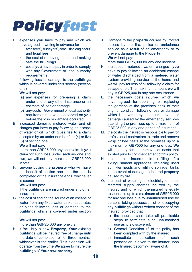- D. expenses **you** have to pay and which **we**  have agreed in writing in advance for
	- architects', surveyors', consulting engineers' and legal fees
	- the cost of removing debris and making safe the **buildings**
	- costs **you** have to pay in order to comply with any Government or local authority requirements

following loss or damage to the **buildings** which is covered under this section (section one)

**We** will not pay:

- (a) any expenses for preparing a claim under this or any other insurance or an estimate of loss or damage
- (b) any costs if Government or local authority requirements have been served on **you** before the loss or damage occurred
- E. increased domestic metered water and oil charges **you** have to pay following an escape of water or oil which gives rise to a claim accepted by **us** under number four (4) or five (5) of section one

**We** will not pay:

more than GBP25,000 any one claim. If **you**  claim for such loss under sections one and two, **we** will not pay more than GBP25,000 in total

F. anyone buying the **property** who will have the benefit of section one until the sale is completed or the insurance ends, whichever is sooner

**We** will not pay:

if the **buildings** are insured under any other insurance

G. the cost of finding the source of an escape of water from any fixed water tanks, apparatus or pipes following loss or damage to the **buildings** which is covered under section one

**We** will not pay:

more than GBP25,000 any one claim.

H. if **You** buy a new **Property**, **Your** existing **buildings** will be insured free of charge until the date of completion or for three months whichever is the earlier. This extension will operate from the time **We** agree to insure the **buildings** of **Your** new **property** 

J. Damage to the **property** caused by forced access by the fire, police or ambulance service as a result of an emergency or to prevent damage to the **Property We** will not pay:

more than GBP5,000 for any one incident

- K. increased metered water charges **you** have to pay following an accidental escape of water discharged from a metered water system providing service to the home and **we** will pay for loss of oil following a claim for escape of oil. The maximum amount **we** will pay is GBP25,000 in any one occurrence.
- L. the necessary costs incurred which **we** have agreed for repairing or replacing the gardens at the premises back to their original condition following loss or damage which is covered by an insured event or damage caused by the emergency services attending the premises up to a maximum of GBP25,000 in any one period of insurance.
- M. the costs the insured is responsible to pay for professional contractors to trade and remove wasp or bee nests at the premises up to a maximum of GBP500 for any one loss. **We** will not pay for the removal of nests that existed prior to commencement of this policy.
- N. the costs incurred in refilling fire extinguishment appliances, replacing used sprinkler heads and refilling sprinkler tanks in the event of damage to insured **property** caused by fire.
- O. the cost of water, gas, electricity or other metered supply charges incurred by the insured and for which the insured is legally responsible up to a maximum of GBP25,000 for any one loss due to unauthorised use by persons taking possession of or occupying any **buildings** without written consent of the insured, provided that
	- a) the insured shall take all practicable steps to terminate such unauthorised use as it is discovered,
	- b) General Condition 13 of the policy has been complied with by the insured,
	- c) immediate notification of such possession is given to the insurer upon the Insured becoming aware of it.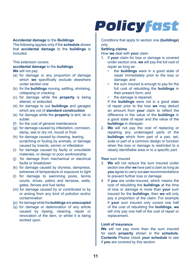#### **Accidental damage** to the **Buildings**

The following applies only if the **schedule** shows that **accidental damage** to the **buildings** is included.

This extension covers:

**accidental damage** to the **buildings We** will not pay:

- (a) for damage or any proportion of damage which **we** specifically exclude elsewhere under section one
- (b) for the **buildings** moving, settling, shrinking, collapsing or cracking
- (c) for damage while the **property** is being altered, or extended
- (d) for damage to out **buildings** and garages which are not of **standard construction**
- (e) for damage while the **property** is lent, let or sublet
- (f) for the cost of general maintenance
- (g) for damage caused by infestation, corrosion, damp, wet or dry rot, mould or frost
- (h) for damage caused by chewing, tearing, scratching or fouling by animals, or damage caused by insects, vermin or infestation
- (i) for damage caused by faulty or unsuitable materials, or design or poor workmanship
- (j) for damage from mechanical or electrical faults or breakdown
- (k) for damage caused by dryness, dampness, extremes of temperature or exposure to light
- (l) for damage to swimming pools, tennis courts, drives, patios and terraces, walls, gates, fences and fuel tanks
- (m) for damage caused by or contributed to by or arising from any kind of pollution and/or contamination
- (p) for damage while the **buildings** are **unoccupied**
- (q) for damage or deterioration of any article caused by dyeing, cleaning, repair or renovation of the item, or whilst it is being worked upon

### **Policyfast**

Conditions that apply to section one **(buildings)**  only

#### **Settling claims**

How **we** deal with **your** claim

- 1. If **your** claim for loss or damage is covered under section one, **we** will pay the full cost of repair as long as:
	- the **buildings** were in a good state of repair immediately prior to the loss or damage; and
	- the sum insured is enough to pay for the full cost of rebuilding the **buildings** in their present form; and
	- the damage is repaired.

If the **buildings** were not in a good state of repair prior to the loss **we** may deduct an amount from **your** claim to reflect the difference in the value of the **buildings** in a good state of repair and the value of the **buildings** in disrepair.

2. **We** will not pay the cost of replacing or repairing any undamaged parts of the **buildings** which form part of a pair, set, suite or part of a common design or function when the loss or damage is restricted to a clearly identifiable area or to a specific part.

**Your** sum insured

- 3. **We** will not reduce the sum insured under section one after **we** have paid a claim as long as **you** agree to carry out **our** recommendations to prevent further loss or damage.
- 4. If **you** are under-insured, which means the cost of rebuilding the **buildings** at the time of loss or damage is more than **your** sum insured for the **buildings**, then **we** will only pay a proportion of the claim. For example if **your** sum insured only covers one half of the cost of rebuilding the **buildings**, **we** will only pay one half of the cost of repair or replacement.

#### **Limit of insurance**

**We** will not pay more than the sum insured for each **property** shown in the **schedule. Contents** Please check **your schedule** to see if **you** are covered by this section.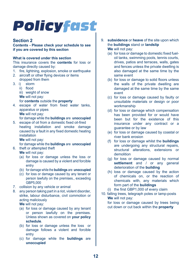#### **Section 2**

**Contents - Please check your schedule to see if you are covered by this section** 

#### **What is covered under this section**

This insurance covers the **contents** for loss or damage directly caused by:

- 1. fire, lightning, explosion, smoke or earthquake
- 2. aircraft or other flying devices or items dropped from them<br>i) storm
- $3. i)$ 
	- ii) flood
	- iii) weight of snow
	- **We** will not pay:

#### for **contents** outside the **property**

4. escape of water from fixed water tanks, apparatus or pipes **We** will not pay:

for damage while the **buildings** are **unoccupied**

5. escape of oil from a domestic fixed oil-fired heating installation and smoke damage caused by a fault in any fixed domestic heating installation

**We** will not pay:

for damage while the **buildings** are **unoccupied**

6. theft or attempted theft

**We** will not pay:

- (a) for loss or damage unless the loss or damage is caused by a violent and forcible entry
- (b) for damage while the **buildings** are **unoccupied**
- (c) for loss or damage caused by any tenant or person lawfully on the premises., exceeding GBP5,000
- 7. collision by any vehicle or animal
- 8. any person taking part in a riot, violent disorder, strike, labour disturbance, civil commotion or acting maliciously
	- **We** will not pay:
	- (a) for loss or damage caused by any tenant or person lawfully on the premises. Unless shown as covered on **your policy schedule**.
	- (b) for loss or damage unless the loss or damage follows a violent and forcible entry
	- (c) for damage while the **buildings** are **unoccupied**
- 9. **subsidence** or **heave** of the site upon which the **buildings** stand or **landslip We** will not pay:
	- (a) for loss or damage to domestic fixed fueloil tanks, swimming pools, tennis courts, drives, patios and terraces, walls, gates and fences unless the private dwelling is also damaged at the same time by the same event
	- (b) for loss or damage to solid floors unless the walls of the private dwelling are damaged at the same time by the same event
	- (c) for loss or damage caused by faulty or unsuitable materials or design or poor workmanship
	- (d) for loss or damage which compensation has been provided for or would have been but for the existence of this insurance under any contract or a guarantee or by law
	- (e) for loss or damage caused by coastal or river bank erosion
	- (f) for loss or damage whilst the **buildings** are undergoing any structural repairs, structural alterations, extensions or demolition
	- (g) for loss or damage caused by normal **settlement** and / or any general deterioration of the **building**
	- (h) loss or damage caused by the action of chemicals on, or the reaction of chemicals with, any materials which form part of the **buildings**
	- (i) the first GBP1,000 of every claim
- 10. falling trees, telegraph poles or lamp-posts **We** will not pay:

for loss or damage caused by trees being cut down or cut back within the **property**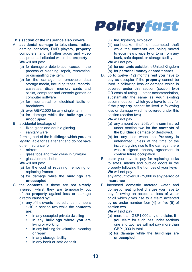#### **This section of the insurance also covers**

- A. **accidental damage** to televisions, radios, gaming consoles, DVD players, **property** computers, and all other audio and video equipment all situated within the **property We** will not pay:
	- (a) for damage or deterioration caused in the process of cleaning, repair, renovation, or dismantling the item.
	- (b) for the damage to removable data storage media, including tapes, records, cassettes, discs, memory cards and sticks, computer and console games or computer software
	- (c) for mechanical or electrical faults or breakdown
	- (d) over GBP2,500 for any single item
	- (e) for damage while the **buildings** are **unoccupied**

#### B. accidental breakage of

- fixed glass and double glazing
- sanitary ware

forming part of the **buildings** which **you** are legally liable for as a tenant and do not have other insurance for

- mirrors
- glass tops and fixed glass in furniture
- glass/ceramic hobs
- **We** will not pay:
- (a) for the cost of repairing, removing or replacing frames
- (b) for damage while the **buildings** are **unoccupied**
- C. the **contents**, if these are not already insured, whilst they are temporarily out of the **property** against loss or damage directly caused by:
	- (i) any of the events insured under numbers 1-10 in section two while the **contents** are:
		- in any occupied private dwelling
		- in any **buildings** where **you** are living or working
		- in any building for valuation, cleaning or repair
		- in any storage facility
		- in any bank or safe deposit

(ii) fire, lightning, explosion,

**Policyfast** 

(iii) earthquake, theft or attempted theft while the **contents** are being moved to **your** new **property** or to or from any bank, safe deposit or storage facility **We** will not pay

- (a) for **contents** outside the United Kingdom
- (b) for **personal money** or **credit cards**
- D. up to twelve (12) months rent **you** have to pay as occupier if the **property** cannot be lived in following loss or damage which is covered under this section (section two) OR costs of using other accommodation. substantially the same as **your** existing accommodation, which **you** have to pay for if the **property** cannot be lived in following loss or damage which is covered under this section (section two)

**We** will not pay

- (a) any amount over 20% of the sum insured under section two for the **contents** of the **buildings** damage or destroyed.
- (b) for any loss when the **Property** is untenanted unless at the time of the incident giving rise to the damage, there was a signed tenancy agreement to confirm future occupation.
- E. costs you have to pay for replacing locks to safes, alarms and outside doors in the property following theft or loss of your keys **We** will not pay

any amount over GBP5,000 in any **period of insurance** 

F. increased domestic metered water and domestic heating fuel charges you have to pay following an accidental loss of water or oil which gives rise to a claim accepted by **us** under number four (4) or five (5) of section two

**We** will not pay

- (a) more than GBP1,000 any one claim. If **you** claim for such loss under sections one and two, **we** will not pay more than GBP1,000 in total
- (b) for damage while the **buildings** are **unoccupied**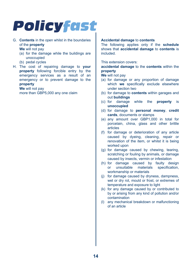G. **Contents** in the open whilst in the boundaries of the **property**

**We** will not pay

- (a) for the damage while the buildings are unoccupied
- (b) pedal cycles
- H. The cost of repairing damage to **your property** following forcible entry by the emergency services as a result of an emergency or to prevent damage to the **property**

**We** will not pay more than GBP5,000 any one claim

#### **Accidental damage** to **contents**

The following applies only if the **schedule** shows that **accidental damage** to **contents** is included.

This extension covers:

**accidental damage** to the **contents** within the **property** 

**We** will not pay

- (a) for damage or any proportion of damage which **we** specifically exclude elsewhere under section two
- (b) for damage to **contents** within garages and out **buildings**
- (c) for damage while the **property** is **unoccupied**
- (d) for damage to **personal money**, **credit cards**, documents or stamps
- (e) any amount over GBP1,000 in total for porcelain, china, glass and other brittle articles
- (f) for damage or deterioration of any article caused by dyeing, cleaning, repair or renovation of the item, or whilst it is being worked upon
- (g) for damage caused by chewing, tearing, scratching or fouling by animals, or damage caused by insects, vermin or infestation
- (h) for damage caused by faulty design or unsuitable materials specification, workmanship or materials
- (j) for damage caused by dryness, dampness, wet or dry rot, mould or frost, or extremes of temperature and exposure to light
- (k) for any damage caused by or contributed to by or arising from any kind of pollution and/or contamination
- (l) any mechanical breakdown or malfunctioning of an article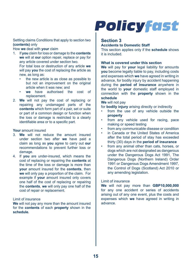#### Settling claims Conditions that apply to section two **(contents)** only

How **we** deal with **your** claim

- 1. If **you** claim for loss or damage to the **contents we** will at **our** option repair, replace or pay for any article covered under section two. For total loss or destruction of any article **we**  will pay **you** the cost of replacing the article as new, as long as:
	- the new article is as close as possible to but not an improvement on the original article when it was new; and
	- **we** have authorised the cost of replacement.
- 2. **We** will not pay the cost of replacing or repairing any undamaged parts of the **contents** which form part of a pair, set or suite or part of a common design or function when the loss or damage is restricted to a clearly identifiable area or to a specific part.

#### **Your** amount insured

- 3. **We** will not reduce the amount insured under section two after **we** have paid a claim as long as **you** agree to carry out **our** recommendations to prevent further loss or damage.
- 4. If **you** are under-insured, which means the cost of replacing or repairing the **contents** at the time of the loss or damage is more than **your** amount insured for the **contents**, then **we** will only pay a proportion of the claim. For example if **your** amount insured only covers one half of the cost of replacing or repairing the **contents**, **we** will only pay one half of the cost of repair or replacement.

#### Limit of insurance

**We** will not pay any more than the amount insured for the **contents** of each **property** shown in the **schedule.** 

### **Policyfast**

#### **Section 3**

#### **Accidents to Domestic Staff**

This section applies only if the **schedule** shows it is included.

#### **What is covered under this section**

**We** will pay for **your** legal liability for amounts **you** become legally liable to pay, including costs and expenses which **we** have agreed in writing in advance, for bodily injury by accident happening during the **period of insurance** anywhere in the world to **your** domestic staff employed in connection with the **property** shown in the **schedule** 

#### **We** will not pay

for **bodily injury** arising directly or indirectly

- from the use of any vehicle outside the **property**
- from any vehicle used for racing, pace making or speed testing
- from any communicable disease or condition
- in Canada or the United States of America after the total period of stay has exceeded thirty (30) days in the **period of insurance**
- from any animal other than cats, horses, or dogs which are not designated as dangerous under the Dangerous Dogs Act 1991, The Dangerous Dogs (Northern Ireland) Order 1991 or Dangerous Dogs Amendment 1997, the Control of Dogs (Scotland) Act 2010 or any amending legislation.

#### Limit of insurance

**We** will not pay more than **GBP10,000,000**  for any one accident or series of accidents arising out of any one event, plus the costs and expenses which **we** have agreed in writing in advance.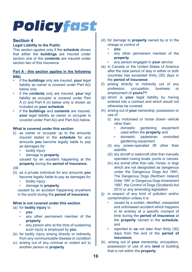#### **Section 4**

#### **Legal Liability to the Public**

This section applies only if the **schedule** shows that either the **buildings** are insured under section one or the **contents** are insured under section two of this insurance.

#### **Part A - this section applies in the following way:**

- if the **buildings** only are insured, **your** legal liability as owner is covered under Part A(i) below only.
- if the **contents** only are insured, **your** legl liability as occupier is covered under Part A (i) and Part A (ii) below only is shown as included on **your schedule**
- if the **buildings** and **contents** are insured, **your** legal liability as owner or occupier is covered under Part A(i) and Part A(ii) below.

#### **What is covered under this section**

- (i) as owner or occupier up to the amounts insured stated in the **schedule** for any amounts **you** become legally liable to pay as damages for
	- bodily injury
	- damage to **property**

caused by an accident happening at the **property** during the **period of insurance**,

#### OR

- (ii) as a private individual for any amounts **you** become legally liable to pay as damages for
	- bodily injury
	- damage to **property**

caused by an accident happening anywhere in the world during the **period of insurance**

#### **What is not covered under this section**

- (a) for **bodily injury** to
	- **you**
	- any other permanent member of the **property**
	- any person who at the time of sustaining such injury is employed by **you**
- (b) for bodily injury arising directly or indirectly from any communicable disease or condition
- (c) arising out of any criminal or violent act to another person or **property**
- (d) for damage to **property** owned by or in the charge or control of
	- **you**
	- any other permanent member of the **property**
	- any person engaged in **your** service
- (e) in Canada or the United States of America after the total period of stay in either or both countries has exceeded thirty (30) days in the **period of insurance**
- (f) arising directly or indirectly out of any<br>profession, occupation, business or profession, occupation, business or employment of **yours??**
- (g) which is **your** legal liability by having entered into a contract and which would not otherwise be covered
- (h) arising out of **your** ownership, possession or use of:
	- (i) any motorised or horse drawn vehicle other than:
		- domestic gardening equipment used within the **property** and
		- domestic pedestrian controlled gardening equipment
	- (ii) any power-operated lift other than stairlifts
	- (iii) any aircraft or watercraft other than manually operated rowing boats, punts or canoes
	- (iv) any animal other than cats, horses, or dogs which are not designated as dangerous under the Dangerous Dogs Act 1991, The Dangerous Dogs (Northern Ireland) Order 1991 or Dangerous Dogs Amendment 1997, the Control of Dogs (Scotland) Act 2010 or any amending legislation
- (j) in respect of any kind of pollution and/or contamination unless it is:
	- caused by a sudden, identified, unexpected and unforeseen accident which happens in its entirety at a specific moment of time during the **period of insurance** at the **property** named in the **schedule**; and
	- reported to **us** not later than thirty (30) days from the end of the **period of insurance**;
- (k) arising out of **your** ownership, occupation, possession or use of any **land** or building that is not within the **property**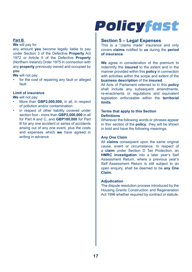#### **Part B**

#### **We** will pay for

any amount **you** become legally liable to pay under Section 3 of the Defective **Property** Act 1972 or Article 5 of the Defective **Property** (Northern Ireland) Order 1975 in connection with any **property** previously owned and occupied by **you**

**We** will not pay

for the cost of repairing any fault or alleged fault

#### **Limit of insurance**

**We** will not pay

- More than **GBP2,000,000,** in all, in respect of pollution and/or contamination:
- in respect of other liability covered under section four - more than **GBP2,000,000** in all for Part A and C, and **GBP100,000** for Part B for any one accident or series of accidents arising out of any one event, plus the costs and expenses which **we** have agreed in writing in advance.

## **Policyfast**

#### **Section 5 – Legal Expenses**

This is a "claims made" insurance and only covers **claims** notified to **us** during the **period of insurance**.

**We** agree in consideration of the premium to indemnify the **insured** to the extent and in the manner provided within this **policy** in connection with activities within the scope and extent of the **business description** of the **insured**.

All Acts of Parliament referred to in this **policy** shall include any subsequent amendments, re-enactments or regulations and equivalent legislation enforceable within the **territorial limits**.

#### **Terms that apply to this Section Definitions**

Wherever the following words or phrases appear in this section of the **policy**, they will be shown in bold and have the following meanings:

#### **Any One Claim**

All **claims** consequent upon the same original cause, event or circumstance. In respect of a **claim** under Section D Tax Protection, an **HMRC investigation** into a later year's Self Assessment Return, where a previous year's Self Assessment Return is still subject to an open enquiry, shall be deemed to be **any One Claim**.

#### **Adjudication**

The dispute resolution process introduced by the Housing Grants Construction and Regeneration Act 1996 whether required by contract or statute.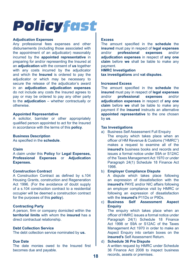#### **Adjudication Expenses**

Any professional fees expenses and other disbursements (including those associated with the appointment of an adjudicator) reasonably incurred by the **appointed representative** in preparing for and/or representing the Insured at an **adjudication** with the consent of **us** together with any costs incurred by the adjudicator and which the **Insured** is ordered to pay the adjudicator or which may be necessary to secure the release of the adjudicator's award in an **adjudication**. **adjudication expenses**  do not include any costs the Insured agrees to pay or may be ordered to pay any other party to the **adjudication** – whether contractually or otherwise.

#### **Appointed Representative**

A solicitor, barrister or other appropriately qualified person appointed to act for the Insured in accordance with the terms of this **policy**.

#### **Business Description**

As specified in the **schedule**.

#### **Claim**

A claim under this **Policy** for **Legal Expenses, Professional Expenses** or **Adjudication Expenses.**

#### **Construction Contract**

A Construction Contract as defined by s.104 Housing Grants, construction and Regeneration Act 1996. (For the avoidance of doubt supply of a s.104 construction contract to a residential occupier will be deemed a construction contract for the purposes of this **policy**).

#### **Contracting Party**

A person, firm or company domiciled within the **territorial limits** with whom the **insured** has a direct contractual relationship.

#### **Debt Collection Service**

The debt collection service nominated by **us.**

#### **Due Date**

The date monies owed to the Insured first becomes due and payable.

#### **Excess**

The amount specified in the **schedule** the **insured** must pay in respect of **legal expenses** and/or **professional expenses** and/or **adjudication expenses** in respect of **any one claim** before **we** shall be liable to make any payment.

**HMRC Investigation** 

**tax investigations** and **vat disputes**.

#### **Increased Excess**

The amount specified in the **schedule** the **insured** must pay in respect of **legal expenses** professional **adjudication expenses** in respect of **any one claim** before **we** shall be liable to make any payment if the **insured** instructs an alternative **appointed representative** to the one chosen by **us**.

#### **Tax Investigations**

a) Business Self Assessment Full Enquiry The enquiry which takes place when an officer of HM Revenue & Customs ("HMRC") makes a request to examine all of the **insured's** business books and records and issues a formal notice under S9A or S12AC of the Taxes Management Act 1970 or under Paragraph 24(1) Schedule 18 Finance Act 1998.

#### b) **Employer Compliance Dispute**

A dispute which takes place following an expression of dissatisfaction with the **insured's** PAYE and/or NIC affairs following an employer compliance visit by HMRC or following an expression of dissatisfaction with the **insured's** P11Ds or P9Ds.

#### c) **Business Self Assessment Aspect Enquiry**

The enquiry which takes place when an officer of HMRC issues a formal notice under Paragraph 24(1) Schedule 18 Finance Act 1998 or S9A or S12AC of the Taxes Management Act 1970 in order to make an Aspect Enquiry into certain boxes on the **insured's** Self Assessment Return.

#### d) **Schedule 36 Pre Dispute**

A written request by HMRC under Schedule 36 Finance Act 2008 to inspect business records, assets or premises.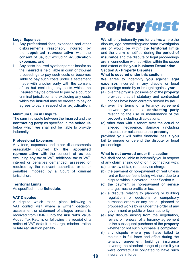### **Legal Expenses**

- Any professional fees, expenses and other disbursements reasonably incurred by the **appointed representative** with the consent of **us,** but excluding **adjudication expenses**; and
- ii. Any costs incurred by other parties insofar as the **insured** is held liable in court or tribunal proceedings to pay such costs or becomes liable to pay such costs under a settlement made with another party with the consent of **us** but excluding any costs which the **insured** may be ordered to pay by a court of criminal jurisdiction and excluding any costs which the **insured** may be ordered to pay or agrees to pay in respect of an **adjudication**.

#### **Minimum Sum in Dispute**

The sum in dispute between the **insured** and the **contracting party** as specified in the **schedule** below which **we** shall not be liable to provide indemnity.

#### **Professional Expenses**

Any fees, expenses and other disbursements reasonably incurred by the **appointed representative** with the consent of **us** but excluding any tax or VAT, additional tax or VAT, interest or penalties demanded, assessed or required by the relevant authorities or other penalties imposed by a Court of criminal jurisdiction.

#### **Territorial Limits**

As specified in the **Schedule**.

#### **VAT Disputes**

A dispute which takes place following a VAT control visit where a written decision, assessment or statement of alleged arrears is received from HMRC into the **insured's** Value Added Tax Return; or following the receipt of a notice of VAT default surcharge, misdeclaration or late registration penalty.

### **Policyfast**

**We** will only indemnify **you** for **claims** where the dispute, legal proceedings and hmrc investigation are or would be within the **territorial limits** and the **claim** is notified during the **period of insurance** and the dispute or legal proceedings are in connection with activities within the scope and extent of the **your business Description**.

#### **Section A - Property Disputes What is covered under this section**

**We** agree to indemnify **you** against **legal expenses** incurred in any dispute or legal proceedings made by or brought against **you**:

- (a) over the physical possession of the **property** provided that all statutory and contractual notices have been correctly served by **you**;
- (b) over the terms of a tenancy agreement between **you** and a **contracting party** relating to the use or maintenance of the **property** including dilapidations:
- (c) other than with a tenant over the actual or alleged negligence, damage (including trespass) or nuisance to the **property**;

provided **you** will suffer financial loss if **you** fail to pursue or defend the dispute or legal proceedings.

#### **What is not covered under this section**

We shall not be liable to indemnify you in respect of any **claim** arising out of or in connection with:

- (a) a review of tax, rent, service charge:
- (b) the payment or non-payment of rent unless rent or licence fee is being withheld due to a dispute which is covered under Section A
- (c) the payment or non-payment or service charge, mesne profits or tax;
- (d) a dispute relating to planning or building regulations or decisions or compulsory purchase orders or any actual, planned or proposed works by or under the order of any government or public or local authority;
- (e) any dispute arising from the negotiation, review or renewal of a tenancy agreement or the subsequent purchase of the **property** whether or not such purchase is completed;
- (f) any dispute where **you** have failed to maintain in full force and effect during the tenancy agreement buildings insurance covering the standard range of perils if **you** were contractually obligated to have such insurance in force;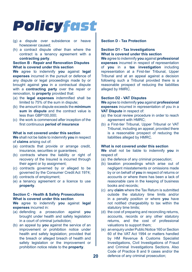- (g) a dispute over subsidence or heave howsoever caused;
- (h) a contract dispute other than where the contract is a tenancy agreement with a **contracting party**.

#### **Section B - Repair and Renovation Disputes What is covered under this section**

**We** agree to indemnify **you** against **legal expenses** incurred in the pursuit or defence of any dispute or legal proceedings made by or brought against **you** in a contractual dispute with a **contracting party** over the repair or renovation, to **property** provided that:

- (a) the **legal expenses** indemnified shall be limited to 75% of the sum in dispute;
- (b) the amount in dispute exceeds the **minimum sum in dispute** and the contract value is less than GBP100,000;
- (c) the work is commenced after inception of the first continuous **period of insurance**

#### **What is not covered under this section**

**We** shall not be liable to indemnify **you** in respect of **claims** arising out of:

- (a) contracts that provide or arrange credit, insurance, securities or quarantees;
- (b) contracts where the liability or right of recovery of the Insured is incurred through their agent or by assignment;
- (c) contracts governed by or alleged to be governed by the Consumer Credit Act 1974;
- (d) contracts of employment;
- (e) a tenancy agreement or a licence to use **property**.

#### **Section C - Health & Safety Prosecutions What is covered under this section**

**We** agree to indemnify **you** against **legal expenses** incurred in:

- (a) defending a prosecution against **you** brought under health and safety legislation in a court of criminal jurisdiction;
- (b) an appeal by **you** against the service of an improvement or prohibition notice under health and safety legislation; provided that the breach or alleged breach of health and safety legislation or the improvement or prohibition notice relate to the **property**.

#### **Section D - Tax Protection**

#### **Section D1 - Tax Investigations What is covered under this section**

**We** agree to indemnify **you** against **professional expenses** incurred in respect of representation of **you** in a **tax investigation** including representation at a First-tier Tribunal, Upper Tribunal and at an appeal against a decision following such a Tribunal provided there is a reasonable prospect of reducing the liabilities alleged by HMRC.

#### **Section D2 - VAT Disputes**

**We** agree to indemnify **you** against **professional expenses** incurred in representation of you in a **VAT Dispute** in respect of:

- (a) the local review procedure in order to reach agreement with HMRC;
- (b) a First-tier Tribunal, Upper Tribunal or VAT Tribunal, including an appeal; provided there is a reasonable prospect of reducing the liabilities alleged by HMRC.

#### **What is not covered under this section**

**We** shall not be liable to indemnify **you** in respect of:

- (a) the defence of any criminal prosecution;
- (b) taxation proceedings which arise out of negligent misstatements or omissions made by or on behalf of **you** in respect of returns or accounts or where there has been a lack of reasonable care in the keeping of business books and records;
- (c) any **claim** where the Tax Return is submitted outside the statutory time limits and/or in a penalty position or where **you** have not notified chargeability to tax within the statutory time limits;
- (d) the cost of preparing and reconciling returns, accounts, records or any other statutory returns, and the cost of professional valuations to support them;
- (e) an enquiry under Public Notice 160 or Section 60 of the VAT Act 1994 or matters handled by HM Revenue & Customs Specialist Investigations, Civil Investigations of Fraud and Criminal Investigations Sections. Also Code of Practice 8 and 9 cases and/or the defence of any criminal prosecution;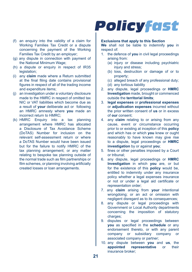- (f) an enquiry into the validity of a claim for Working Families Tax Credit or a dispute concerning the payment of the Working Families Tax Credit by an employer;
- (g) any dispute in connection with payment of the National Minimum Wage;
- (h) a dispute or enquiry in respect of IR35 legislation;
- (i) any **claim** made where a Return submitted at the final filing date contains provisional figures in respect of all of the trading income and expenditure items;
- (j) an investigation under a voluntary disclosure made to the HMRC in respect of omitted tax NIC or VAT liabilities which become due as a result of **your** deliberate act or following an HMRC amnesty where **you** made an incorrect return to HMRC;
- (k) HMRC Enquiry into a tax planning arrangement where HMRC has allocated a Disclosure of Tax Avoidance Scheme (DoTAS) Number for inclusion on the relevant self-assessment return or where a DoTAS Number would have been issued but for the failure to notify HMRC of the tax planning arrangement; or any matter relating to bespoke tax planning outside of the normal trade such as film partnerships or film schemes, or planning involving artificially created losses or loan arrangements.

#### **Exclusions that apply to this Section**

**We** shall not be liable to indemnify **you** in respect of:

- 1. the defence of **you** in civil legal proceedings arising from:
	- (a) injury or disease including psychiatric injury and stress;
	- (b) loss, destruction or damage of or to property;
	- (c) alleged breach of any professional duty;
	- (d) any tortious liability
- 2. any dispute, legal proceedings or **HMRC Investigation** made, brought or commenced outside the **territorial limits**;
- 3. **legal expenses** or **professional expenses** or **adjudication expenses** incurred without the prior written consent of **us** or in excess of **our** consent;
- 4. any **claim** relating to or arising from any cause, event or circumstance occurring prior to or existing at inception of this **policy** and which has or which **you** knew or ought reasonably to have known may give rise to a dispute, legal proceedings or **HMRC investigation** by or against **you**;
- 5. fines or other penalties imposed by a Court or tribunal;
- 6. any dispute, legal proceedings or **HMRC Investigation** in which **you** are, or but for the existence of this **policy** would be, entitled to indemnity under any insurance policy whether a legal expenses insurance or not or under a legal aid certificate or representation order;
- 7. any **claim** arising from **your** intentional wrongdoing; or an act or omission with negligent disregard as to its consequences;
- 8. any dispute or legal proceedings with Government or Local Authority departments concerning the imposition of statutory charges;
- 9. disputes or legal proceedings between **you** as specified in the **schedule** or any endorsement thereto, or with any parent company or subsidiary company or associated company or partner;
- 10. any dispute between **you** and **us**, the **representative** or their insurance broker;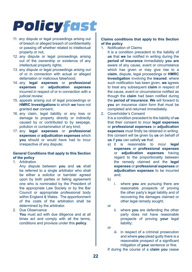- 11. any dispute or legal proceedings arising out of breach or alleged breach of confidentiality or passing off whether related to intellectual property or not;
- 12. any dispute or legal proceedings arising out of the ownership or existence of any intellectual property rights;
- 13. any dispute or legal proceedings arising out of or in connection with actual or alleged defamation or malicious falsehood;
- 14. any **legal expenses** or **professional expenses** or **adjudication expenses** incurred in respect of or in connection with a judicial review:
- 15. appeals arising out of legal proceedings or **HMRC Investigations** to which **we** have not granted **our** consent;
- 16. any claim, legal liability or any loss or damage to property directly or indirectly caused by or contributed to by seepage, pollution or contamination of any kind;
- 17. any **legal expenses** or **professional expenses** or **adjudication expenses** which **you** should or would have had to incur irrespective of any dispute;

#### **General Conditions that apply to this Section of the policy**

1. Arbitration

Any dispute between **you** and **us** shall be referred to a single arbitrator who shall be either a solicitor or barrister agreed upon by both parties or failing agreement one who is nominated by the President of the appropriate Law Society or by the Bar Council or appropriate professional body within England & Wales. The apportionment of the costs of the arbitration shall be determined by the arbitrator.

2. Due Observance

**You** must act with due diligence and at all times act and comply with all the terms, conditions and provisos under this **policy**.

#### **Claims conditions that apply to this Section of the policy**

1. Notification of Claims

It is a condition precedent to the liability of **us** that **we** be notified in writing during the **period of insurance** immediately **you are** aware of any cause, event or circumstance which has given or may give rise to a **claim**, dispute, legal proceedings or **HMRC Investigation** involving the **insured**. where such notification has been given, **we** agrees to treat any subsequent **claim** in respect of the cause, event or circumstance notified as though the **claim** had been notified during the **period of insurance**. **We** will forward to **you** an insurance claim form that must be completed and returned immediately.

2. Coverholder's Consent

It is a condition precedent to the liability of **us** that their consent to incur **legal expenses** or **professional expenses** or **adjudication expenses** must firstly be obtained in writing. this consent will be given by **us** on behalf of **us** if **you** can satisfy **us** that:

- a) it is reasonable to incur **legal expenses** or **professional expenses** or **adjudication expenses** having regard to the proportionality between the remedy claimed and the **legal expenses** or **professional expenses** or **adjudication expenses** to be incurred and;
- b)
- i. where **you** are pursuing there are reasonable prospects of proving the other party's legal liability and of recovering the damages claimed or other legal remedy sought;
- or
- ii. where **you** are defending the other party does not have reasonable prospects of proving **your** legal liability;
- or
- iii. in respect of a criminal prosecution and where **you** plead guilty there is a reasonable prospect of a significant mitigation of **your** sentence or fine.

If during the course of a **claim you** cease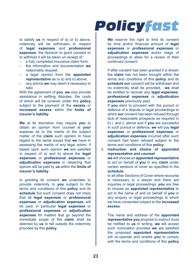to satisfy **us** in respect of a) or b) above, indemnity will be withdrawn in respect of **legal expenses** and **professional expenses**. the decision to grant consent or to withhold it will be taken on receipt of:

- a fully completed insurance claim form;
- the information and documentation **we** reasonably request;
- a legal opinion from the **appointed representative** as to a) and b) above;
- any advice **we** may deem it necessary to take.

With the agreement of **you**, **we** may provide assistance in settling disputes, the costs of which will be covered under this **policy** subject to the payment of the **excess** or **increased excess** within the **limits of insurer's liability**.

**We** at its discretion may require **you** to obtain an opinion from counsel at **your** expense as to the merits of the subject matter of the **claim** such opinion to have regard to the same issues that **we** have in assessing the merits of any legal action. if based upon such opinion **we** are satisfied in respect of a) and b) above the **legal expenses** or **professional expenses** or **adjudication expenses** in obtaining that opinion will be paid by **us** within the **limits of insurer's liability**.

In granting its consent **we** undertake to provide indemnity to **you** subject to the terms and conditions of this **policy** and its **schedule** but such consent does not imply that all **legal expenses** or **professional expenses** or **adjudication expenses** will be paid. in particular **legal expenses** or **professional expenses** or **adjudication expenses** for matters that go beyond the immediate scope of the **claim** shall be deemed by **us** to fall outside the indemnity provided by this **policy**.

### **Policyfast**

We reserve the right to limit its consent by time and/or financial amount of **legal expenses** or **professional expenses** or **adjudication expenses** and/or stage of proceedings to allow for a review of their continued consent.

If after consent has been granted it is shown the **claim** has not been brought within the terms and conditions of this **policy** and its **schedule our** consent will be withdrawn and no indemnity shall be provided. **we** shall be entitled to recover any **legal expenses**, **professional expenses** or **adjudication expenses** previously paid.

If **you** elect to proceed with the pursuit or defence of a dispute or legal proceedings to which **our** consent has been refused through lack of reasonable prospects as required in b) i. and ii. above and if **you** are successful in such pursuit or defence, **we** will pay **legal expenses** or **professional expenses** or **adjudication expenses** incurred after such consent had been refused subject to the terms and conditions of this **policy**.

3. **instruction and choice of appointed representative and counsel we** will choose an **appointed representative** to act on behalf of **you** in any **claim** under certain sections of cover as specified in the **schedule**. In all other Sections of Cover where recourse

is necessary to a lawyer and there are inquiries or legal proceedings, **you** are free to choose an **appointed representative** to act in the name of and on behalf of **you** in any enquiry or legal proceedings to which we have consented subject to the **increased excess**.

The name and address of the **appointed representative you** propose to instruct must be notified to **us** in writing. **we** will accept such nomination provided **we** are satisfied the proposed **appointed representative** will co-operate and enable **you** to comply with the terms and conditions of this **policy**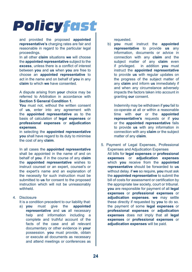and provided the proposed **appointed representative's** charging rates are fair and reasonable in regard to the particular legal proceedings.

In all other **claim** situations **we** will choose the **appointed representative** subject to the **excess**, unless there is a conflict of interest between **you** and **us** when **you** are free to choose an **appointed representative** to act in the name and on behalf of **you** in any **claim** to which **we** have consented.

A dispute arising from **your** choice may be referred to Arbitration in accordance with **Section 5 General Condition 1**.

You must not, without the written consent of **us**, enter into any agreement with the **appointed representative** as to the basis of calculation of **legal expenses** or **professional expenses** or **adjudication expenses**.

in selecting the **appointed representative you** shall have regard to its duty to minimise the cost of any **claim**.

In all cases the **appointed representative** shall be appointed in the name of and on behalf of **you**. if in the course of any **claim** the **appointed representative** wishes to instruct counsel or an expert, counsel's or the expert's name and an explanation of the necessity for such instruction must be submitted to **us** for consent to the proposed instruction which will not be unreasonably withheld.

4. Disclosure

It is a condition precedent to our liability that:

a) **you** must give the **appointed representative** and **us** all necessary help and information including a complete and truthful account of the facts of the case and all relevant documentary or other evidence in **your** possession. **you** must provide, obtain or execute all documents as necessary and attend meetings or conferences as

requested.

b) **you** must instruct the **appointed representative** to provide **us** any information, documents or advice in connection with any **claim** and the subject matter of any **claim** even<br>if privileged. in addition you must in addition you must instruct the **appointed representative** to provide **us** with regular updates on the progress of the subject matter of any **claim** and inform **us** immediately if and when any circumstance adversely impacts the factors taken into account in granting **our** consent.

Indemnity may be withdrawn if **you** fail to co-operate at all or within a reasonable time with **our** or the **appointed representative's** requests or if **you** or the **appointed representative** fails to provide **us** with any information in connection with any **claim** or the subject matter of any **claim**.

5. Payment of Legal Expenses, Professional Expenses and Adjudication Expenses All bills for **legal expenses** or **professional expenses** or **adjudication expenses** which **you** receive from the **appointed representative** should be forwarded to **us** without delay. if **we** so require, **you** must ask the **appointed representative** to submit the bill of costs for assessment or certification by the appropriate law society, court or tribunal. **you** are responsible for payment of all **legal expenses** or **professional expenses** or **adjudication expenses**. **we** may settle these directly if requested by **you** to do so. the payment of some **legal expenses** or **professional expenses** or **adjudication expenses** does not imply that all **legal expenses** or **professional expenses** or **adjudication expenses** will be paid.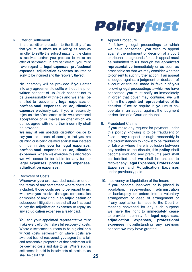#### 6. Offer of Settlement

It is a condition precedent to the liability of **us** that **you** must inform **us** in writing as soon as an offer to settle the subject matter of the **claim** is received and/or **you** propose to make an offer of settlement. In any settlement, **you** must have regard to **legal expenses**, **professional expenses**, **adjudication expenses** incurred or likely to be incurred and the recovery thereof.

No indemnity will be provided if **you** enter into any agreement to settle without the prior written consent of **us** (such consent not to be unreasonably withheld) and **we** shall be entitled to recover any **legal expenses** or **professional expenses** or **adjudication expenses** previously paid. if you unreasonably reject an offer of settlement which **we** recommend acceptance of or makes an offer which **we** do not agree with no further indemnity shall be provided.

**We** may at **our** absolute discretion decide to pay **you** the amount of damages that **you** are claiming or is being claimed against **you** instead of indemnifying **you** for **legal expenses**, **professional expenses** or **adjudication expenses**. where **we** exercise this discretion **we** will cease to be liable for any further **legal expenses**, **professional expenses**, **adjudication expenses**.

#### 7. Recovery of Costs

Whenever **you** are awarded costs or under the terms of any settlement where costs are included, those costs are to be repaid to **us**. whenever **you** receive damages compensation or monies of any kind in an **adjudication** or subsequent litigation these shall be first used to pay the **adjudication expenses** or repay **us** any **adjudication expenses** already paid.

**You** and **your appointed representative** must make every effort to make a full recovery of costs. Where a settlement purports to be a global or a without costs settlement or where costs are awarded but not recovered, **you** agree that a fair and reasonable proportion of that settlement will be deemed costs and due to **us**. Where such a settlement is paid in instalments all costs to **us** shall be paid first.

### **Policyfast**

#### 8. Appeal Procedure

If, following legal proceedings to which **we** have consented, **you** wish to appeal against the judgment or decision of a court or tribunal, the grounds for such appeal must be submitted to **us** through the **appointed representative** immediately or as soon as practicable so that **we** may consider whether to consent to such further action. if an appeal is lodged against a judgment or decision of a court or tribunal made in favour of **you** following legal proceedings to which **we** have consented, **you** must notify **us** immediately in order that cover may continue. **we** will inform the **appointed representative** of its decision. if **we** so require it, **you** must cooperate in an appeal against the judgment or decision of a Court or tribunal.

#### 9. Fraudulent Claims

If **you** make any request for payment under this **policy** knowing it to be fraudulent or false in any respect or ought reasonably in the circumstances to know it to be fraudulent or false or where there is collusion between any parties to the dispute, this **policy** shall become void and any premiums paid shall be forfeited and **we** shall be entitled to recover any **Legal Expenses**, **Professional Expenses** and **Adjudication Expenses** under previously paid.

10. Insolvency or Liquidation of the Insure If **you** become insolvent or is placed in liquidation, receivership, administration or bankruptcy or enters into a voluntary arrangement or deed of arrangement or if any application is made to the Court or meeting convened for any such purpose **we** have the right to immediately cease to provide indemnity for **legal expenses**, **adjudication expenses**, **professional expenses** notwithstanding any previous consent **we** may have granted.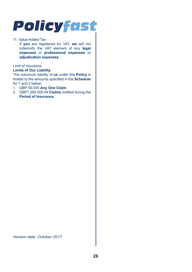#### 11. Value Added Tax

If **you** are registered for VAT, **we** will not indemnify the VAT element of any **legal expenses** or **professional expenses** or **adjudication expenses**.

#### Limit of insurance

#### **Limits of Our Liability**

The maximum liability of **us** under this **Policy** is limited to the amounts specified in the **Schedule** for 1 and 2 below:

- 1. GBP 50,000 **Any One Claim**
- 2. GBP1,000,000 All **Claims** notified during the **Period of Insurance**.

Version date: October 2017